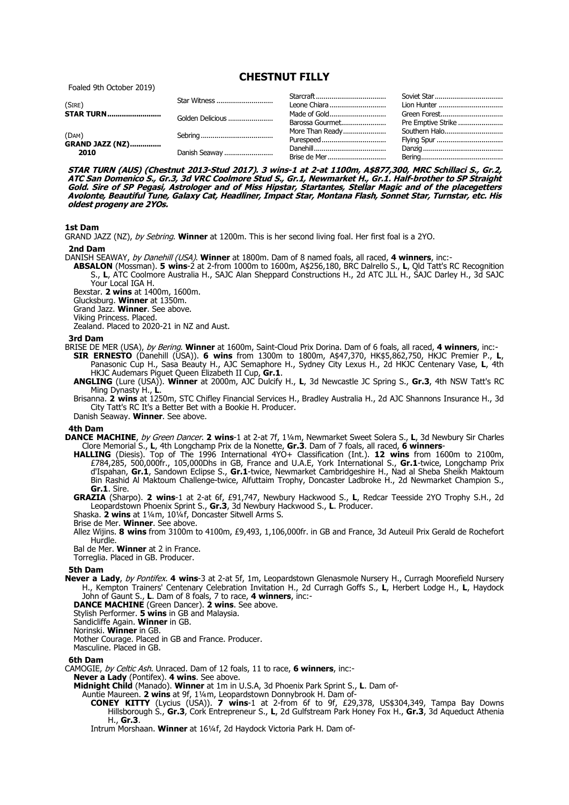**CHESTNUT FILLY**

Foaled 9th October 2019)

| (SIRE)                          | Star Witness                      | Leone Chiara                    | Soviet Star<br>Lion Hunter         |
|---------------------------------|-----------------------------------|---------------------------------|------------------------------------|
|                                 | <b>STAR TURN</b> Golden Delicious | Made of Gold<br>Barossa Gourmet | Green Forest<br>Pre Emptive Strike |
| (DAM)<br><b>GRAND JAZZ (NZ)</b> |                                   | More Than Ready                 | Southern Halo<br>Flying Spur       |
| 2010                            | Danish Seaway                     | Brise de Mer                    |                                    |

**STAR TURN (AUS) (Chestnut 2013-Stud 2017). 3 wins-1 at 2-at 1100m, A\$877,300, MRC Schillaci S., Gr.2, ATC San Domenico S., Gr.3, 3d VRC Coolmore Stud S., Gr.1, Newmarket H., Gr.1. Half-brother to SP Straight Gold. Sire of SP Pegasi, Astrologer and of Miss Hipstar, Startantes, Stellar Magic and of the placegetters Avolonte, Beautiful Tune, Galaxy Cat, Headliner, Impact Star, Montana Flash, Sonnet Star, Turnstar, etc. His oldest progeny are 2YOs.**

# **1st Dam**

GRAND JAZZ (NZ), by Sebring. **Winner** at 1200m. This is her second living foal. Her first foal is a 2YO.

### **2nd Dam**

DANISH SEAWAY, by Danehill (USA). **Winner** at 1800m. Dam of 8 named foals, all raced, **4 winners**, inc:-

**ABSALON** (Mossman). **5 wins**-2 at 2-from 1000m to 1600m, A\$256,180, BRC Dalrello S., **L**, Qld Tatt's RC Recognition S., **L**, ATC Coolmore Australia H., SAJC Alan Sheppard Constructions H., 2d ATC JLL H., SAJC Darley H., 3d SAJC Your Local IGA H.

Bexstar. **2 wins** at 1400m, 1600m.

Glucksburg. **Winner** at 1350m.

Grand Jazz. **Winner**. See above.

Viking Princess. Placed.

Zealand. Placed to 2020-21 in NZ and Aust.

#### **3rd Dam**

BRISE DE MER (USA), by Bering. **Winner** at 1600m, Saint-Cloud Prix Dorina. Dam of 6 foals, all raced, **4 winners**, inc:-

**SIR ERNESTO** (Danehill (USA)). **6 wins** from 1300m to 1800m, A\$47,370, HK\$5,862,750, HKJC Premier P., **L**, Panasonic Cup H., Sasa Beauty H., AJC Semaphore H., Sydney City Lexus H., 2d HKJC Centenary Vase, **L**, 4th HKJC Audemars Piguet Queen Elizabeth II Cup, **Gr.1**.

- **ANGLING** (Lure (USA)). **Winner** at 2000m, AJC Dulcify H., **L**, 3d Newcastle JC Spring S., **Gr.3**, 4th NSW Tatt's RC Ming Dynasty H., **L**.
- Brisanna. **2 wins** at 1250m, STC Chifley Financial Services H., Bradley Australia H., 2d AJC Shannons Insurance H., 3d City Tatt's RC It's a Better Bet with a Bookie H. Producer.

Danish Seaway. **Winner**. See above.

#### **4th Dam**

- **DANCE MACHINE**, by Green Dancer. **2 wins**-1 at 2-at 7f, 1¼m, Newmarket Sweet Solera S., **L**, 3d Newbury Sir Charles Clore Memorial S., **L**, 4th Longchamp Prix de la Nonette, **Gr.3**. Dam of 7 foals, all raced, **6 winners**-
	- **HALLING** (Diesis). Top of The 1996 International 4YO+ Classification (Int.). **12 wins** from 1600m to 2100m, £784,285, 500,000fr., 105,000Dhs in GB, France and U.A.E, York International S., **Gr.1**-twice, Longchamp Prix d'Ispahan, **Gr.1**, Sandown Eclipse S., **Gr.1**-twice, Newmarket Cambridgeshire H., Nad al Sheba Sheikh Maktoum Bin Rashid Al Maktoum Challenge-twice, Alfuttaim Trophy, Doncaster Ladbroke H., 2d Newmarket Champion S., **Gr.1**. Sire.

**GRAZIA** (Sharpo). **2 wins**-1 at 2-at 6f, £91,747, Newbury Hackwood S., **L**, Redcar Teesside 2YO Trophy S.H., 2d Leopardstown Phoenix Sprint S., **Gr.3**, 3d Newbury Hackwood S., **L**. Producer.

Shaska. **2 wins** at 1¼m, 10¼f, Doncaster Sitwell Arms S.

Brise de Mer. **Winner**. See above.

Allez Wijins. **8 wins** from 3100m to 4100m, £9,493, 1,106,000fr. in GB and France, 3d Auteuil Prix Gerald de Rochefort Hurdle.

Bal de Mer. **Winner** at 2 in France.

Torreglia. Placed in GB. Producer.

## **5th Dam**

**Never a Lady**, by Pontifex. **4 wins**-3 at 2-at 5f, 1m, Leopardstown Glenasmole Nursery H., Curragh Moorefield Nursery H., Kempton Trainers' Centenary Celebration Invitation H., 2d Curragh Goffs S., **L**, Herbert Lodge H., **L**, Haydock John of Gaunt S., **L**. Dam of 8 foals, 7 to race, **4 winners**, inc:-

**DANCE MACHINE** (Green Dancer). **2 wins**. See above.

Stylish Performer. **5 wins** in GB and Malaysia.

Sandicliffe Again. **Winner** in GB.

Norinski. **Winner** in GB.

Mother Courage. Placed in GB and France. Producer.

Masculine. Placed in GB.

#### **6th Dam**

CAMOGIE, by Celtic Ash. Unraced. Dam of 12 foals, 11 to race, **6 winners**, inc:-

**Never a Lady** (Pontifex). **4 wins**. See above.

**Midnight Child** (Manado). **Winner** at 1m in U.S.A, 3d Phoenix Park Sprint S., **L**. Dam of-

Auntie Maureen. **2 wins** at 9f, 1¼m, Leopardstown Donnybrook H. Dam of-

**CONEY KITTY** (Lycius (USA)). **7 wins**-1 at 2-from 6f to 9f, £29,378, US\$304,349, Tampa Bay Downs Hillsborough S., **Gr.3**, Cork Entrepreneur S., **L**, 2d Gulfstream Park Honey Fox H., **Gr.3**, 3d Aqueduct Athenia H., **Gr.3**.

Intrum Morshaan. **Winner** at 16¼f, 2d Haydock Victoria Park H. Dam of-